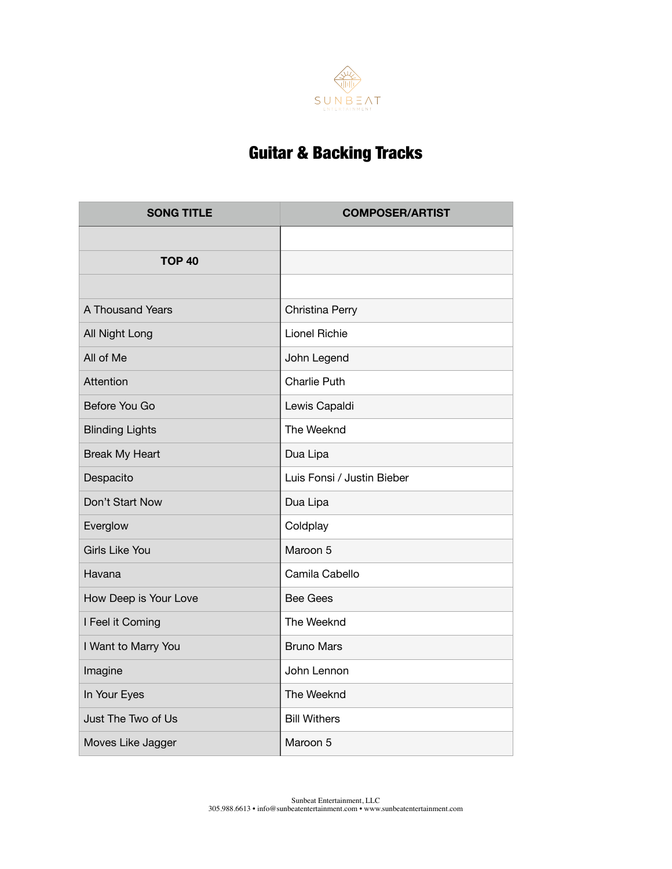

## Guitar & Backing Tracks

| <b>SONG TITLE</b>      | <b>COMPOSER/ARTIST</b>     |
|------------------------|----------------------------|
|                        |                            |
| <b>TOP 40</b>          |                            |
|                        |                            |
| A Thousand Years       | Christina Perry            |
| All Night Long         | Lionel Richie              |
| All of Me              | John Legend                |
| Attention              | Charlie Puth               |
| Before You Go          | Lewis Capaldi              |
| <b>Blinding Lights</b> | The Weeknd                 |
| <b>Break My Heart</b>  | Dua Lipa                   |
| Despacito              | Luis Fonsi / Justin Bieber |
| Don't Start Now        | Dua Lipa                   |
| Everglow               | Coldplay                   |
| <b>Girls Like You</b>  | Maroon 5                   |
| Havana                 | Camila Cabello             |
| How Deep is Your Love  | <b>Bee Gees</b>            |
| I Feel it Coming       | The Weeknd                 |
| I Want to Marry You    | <b>Bruno Mars</b>          |
| Imagine                | John Lennon                |
| In Your Eyes           | The Weeknd                 |
| Just The Two of Us     | <b>Bill Withers</b>        |
| Moves Like Jagger      | Maroon 5                   |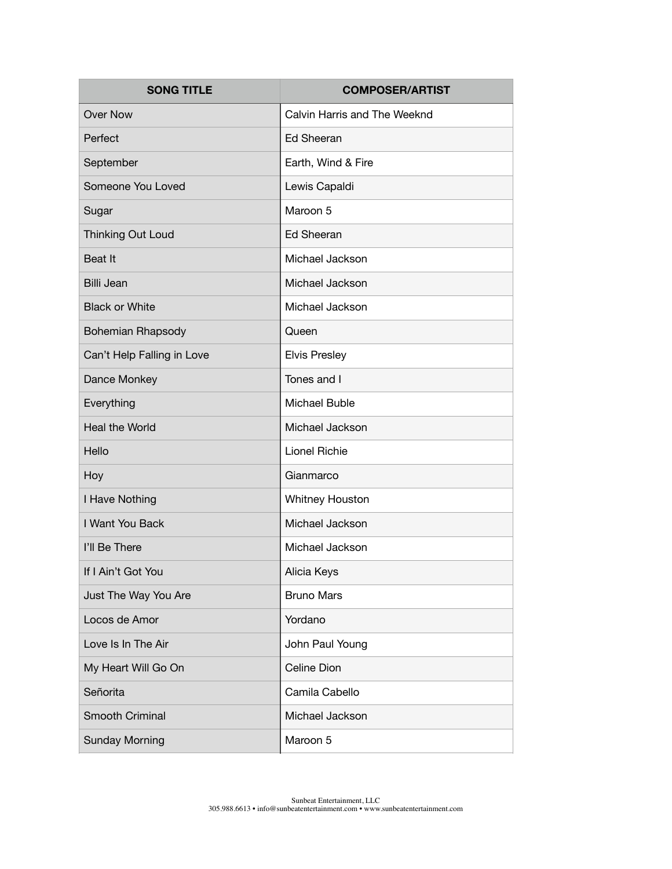| <b>SONG TITLE</b>          | <b>COMPOSER/ARTIST</b>       |
|----------------------------|------------------------------|
| <b>Over Now</b>            | Calvin Harris and The Weeknd |
| Perfect                    | <b>Ed Sheeran</b>            |
| September                  | Earth, Wind & Fire           |
| Someone You Loved          | Lewis Capaldi                |
| Sugar                      | Maroon 5                     |
| Thinking Out Loud          | <b>Ed Sheeran</b>            |
| Beat It                    | Michael Jackson              |
| <b>Billi Jean</b>          | Michael Jackson              |
| <b>Black or White</b>      | Michael Jackson              |
| <b>Bohemian Rhapsody</b>   | Queen                        |
| Can't Help Falling in Love | <b>Elvis Presley</b>         |
| Dance Monkey               | Tones and I                  |
| Everything                 | Michael Buble                |
| Heal the World             | Michael Jackson              |
| Hello                      | <b>Lionel Richie</b>         |
| Hoy                        | Gianmarco                    |
| I Have Nothing             | Whitney Houston              |
| I Want You Back            | Michael Jackson              |
| I'll Be There              | Michael Jackson              |
| If I Ain't Got You         | Alicia Keys                  |
| Just The Way You Are       | <b>Bruno Mars</b>            |
| Locos de Amor              | Yordano                      |
| Love Is In The Air         | John Paul Young              |
| My Heart Will Go On        | Celine Dion                  |
| Señorita                   | Camila Cabello               |
| Smooth Criminal            | Michael Jackson              |
| <b>Sunday Morning</b>      | Maroon 5                     |